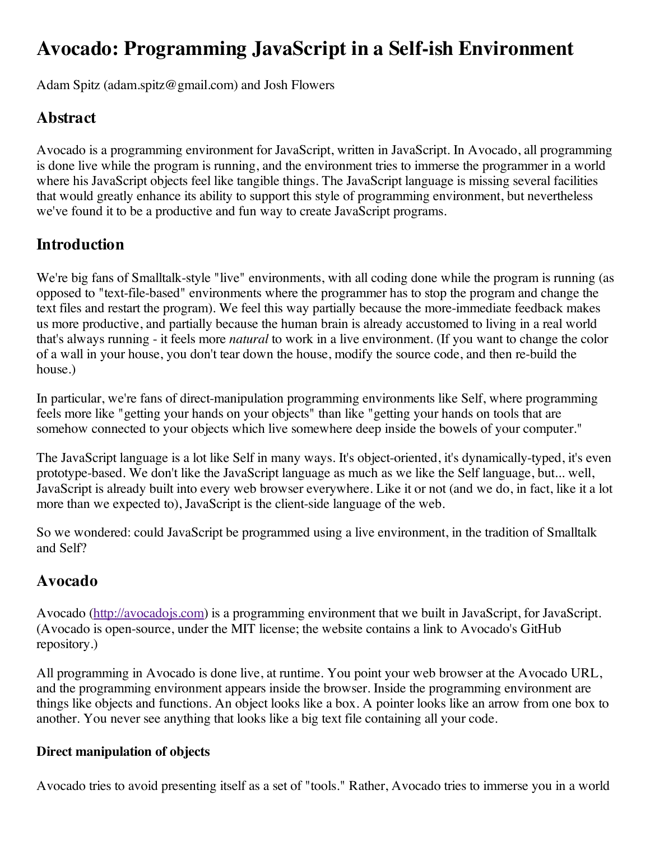# **Avocado: Programming JavaScript in a Self-ish Environment**

Adam Spitz (adam.spitz@gmail.com) and Josh Flowers

# **Abstract**

Avocado is a programming environment for JavaScript, written in JavaScript. In Avocado, all programming is done live while the program is running, and the environment tries to immerse the programmer in a world where his JavaScript objects feel like tangible things. The JavaScript language is missing several facilities that would greatly enhance its ability to support this style of programming environment, but nevertheless we've found it to be a productive and fun way to create JavaScript programs.

# **Introduction**

We're big fans of Smalltalk-style "live" environments, with all coding done while the program is running (as opposed to "text-file-based" environments where the programmer has to stop the program and change the text files and restart the program). We feel this way partially because the more-immediate feedback makes us more productive, and partially because the human brain is already accustomed to living in a real world that's always running - it feels more *natural* to work in a live environment. (If you want to change the color of a wall in your house, you don't tear down the house, modify the source code, and then re-build the house.)

In particular, we're fans of direct-manipulation programming environments like Self, where programming feels more like "getting your hands on your objects" than like "getting your hands on tools that are somehow connected to your objects which live somewhere deep inside the bowels of your computer."

The JavaScript language is a lot like Self in many ways. It's object-oriented, it's dynamically-typed, it's even prototype-based. We don't like the JavaScript language as much as we like the Self language, but... well, JavaScript is already built into every web browser everywhere. Like it or not (and we do, in fact, like it a lot more than we expected to), JavaScript is the client-side language of the web.

So we wondered: could JavaScript be programmed using a live environment, in the tradition of Smalltalk and Self?

## **Avocado**

Avocado [\(http://avocadojs.com](http://avocadojs.com/)) is a programming environment that we built in JavaScript, for JavaScript. (Avocado is open-source, under the MIT license; the website contains a link to Avocado's GitHub repository.)

All programming in Avocado is done live, at runtime. You point your web browser at the Avocado URL, and the programming environment appears inside the browser. Inside the programming environment are things like objects and functions. An object looks like a box. A pointer looks like an arrow from one box to another. You never see anything that looks like a big text file containing all your code.

#### **Direct manipulation of objects**

Avocado tries to avoid presenting itself as a set of "tools." Rather, Avocado tries to immerse you in a world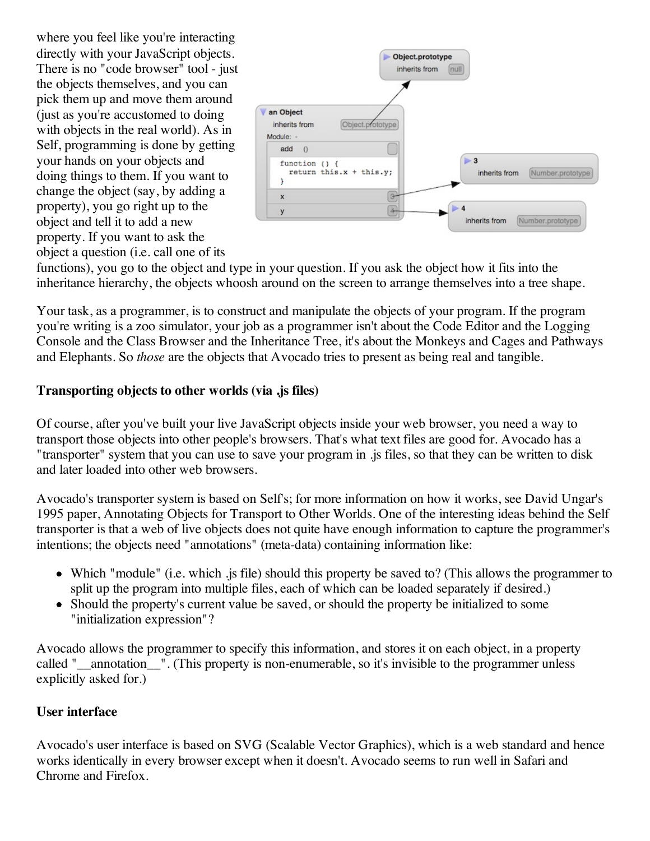where you feel like you're interacting directly with your JavaScript objects. There is no "code browser" tool - just the objects themselves, and you can pick them up and move them around (just as you're accustomed to doing with objects in the real world). As in Self, programming is done by getting your hands on your objects and doing things to them. If you want to change the object (say, by adding a property), you go right up to the object and tell it to add a new property. If you want to ask the object a question (i.e. call one of its



functions), you go to the object and type in your question. If you ask the object how it fits into the inheritance hierarchy, the objects whoosh around on the screen to arrange themselves into a tree shape.

Your task, as a programmer, is to construct and manipulate the objects of your program. If the program you're writing is a zoo simulator, your job as a programmer isn't about the Code Editor and the Logging Console and the Class Browser and the Inheritance Tree, it's about the Monkeys and Cages and Pathways and Elephants. So *those* are the objects that Avocado tries to present as being real and tangible.

#### **Transporting objects to other worlds (via .js files)**

Of course, after you've built your live JavaScript objects inside your web browser, you need a way to transport those objects into other people's browsers. That's what text files are good for. Avocado has a "transporter" system that you can use to save your program in .js files, so that they can be written to disk and later loaded into other web browsers.

Avocado's transporter system is based on Self's; for more information on how it works, see David Ungar's 1995 paper, Annotating Objects for Transport to Other Worlds. One of the interesting ideas behind the Self transporter is that a web of live objects does not quite have enough information to capture the programmer's intentions; the objects need "annotations" (meta-data) containing information like:

- Which "module" (i.e. which .js file) should this property be saved to? (This allows the programmer to split up the program into multiple files, each of which can be loaded separately if desired.)
- Should the property's current value be saved, or should the property be initialized to some "initialization expression"?

Avocado allows the programmer to specify this information, and stores it on each object, in a property called "\_\_annotation\_\_". (This property is non-enumerable, so it's invisible to the programmer unless explicitly asked for.)

#### **User interface**

Avocado's user interface is based on SVG (Scalable Vector Graphics), which is a web standard and hence works identically in every browser except when it doesn't. Avocado seems to run well in Safari and Chrome and Firefox.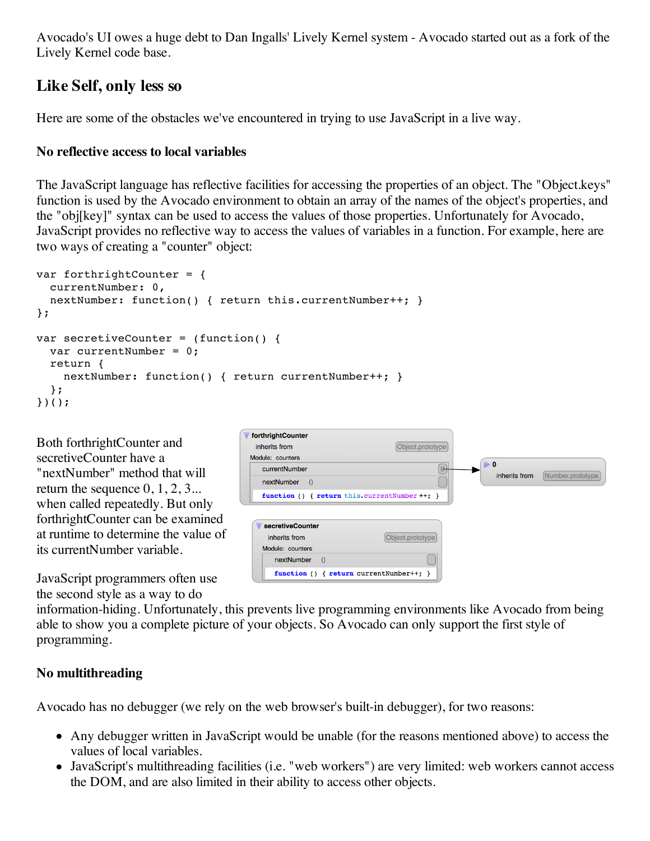Avocado's UI owes a huge debt to Dan Ingalls' Lively Kernel system - Avocado started out as a fork of the Lively Kernel code base.

## **Like Self, only less so**

Here are some of the obstacles we've encountered in trying to use JavaScript in a live way.

#### **No reflective access to local variables**

The JavaScript language has reflective facilities for accessing the properties of an object. The "Object.keys" function is used by the Avocado environment to obtain an array of the names of the object's properties, and the "obj[key]" syntax can be used to access the values of those properties. Unfortunately for Avocado, JavaScript provides no reflective way to access the values of variables in a function. For example, here are two ways of creating a "counter" object:

```
var forthrightCounter = {
  currentNumber: 0,
  nextNumber: function() { return this.currentNumber++; }
};
var secretiveCounter = (function() {
  var currentNumber = 0;
  return {
    nextNumber: function() { return currentNumber++; }
  };
})();
```
Both forthrightCounter and secretiveCounter have a "nextNumber" method that will return the sequence  $0, 1, 2, 3...$ when called repeatedly. But only forthrightCounter can be examined at runtime to determine the value of its currentNumber variable.



JavaScript programmers often use the second style as a way to do

information-hiding. Unfortunately, this prevents live programming environments like Avocado from being able to show you a complete picture of your objects. So Avocado can only support the first style of programming.

#### **No multithreading**

Avocado has no debugger (we rely on the web browser's built-in debugger), for two reasons:

- Any debugger written in JavaScript would be unable (for the reasons mentioned above) to access the values of local variables.
- JavaScript's multithreading facilities (i.e. "web workers") are very limited: web workers cannot access the DOM, and are also limited in their ability to access other objects.